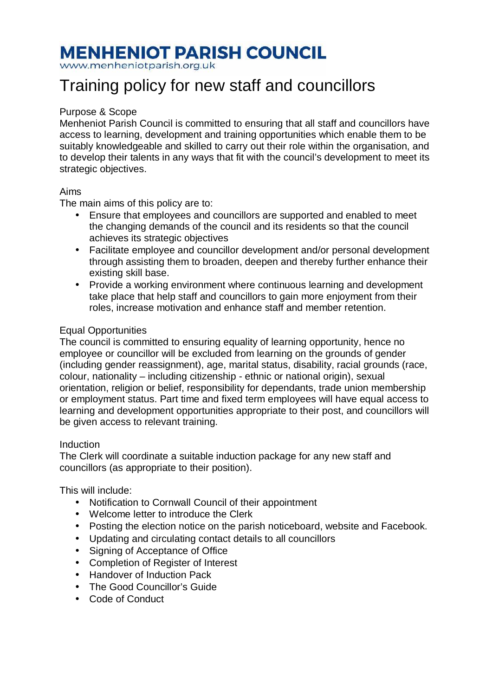# **MENHENIOT PARISH COUNCIL**

www.menheniotparish.org.uk

## Training policy for new staff and councillors

### Purpose & Scope

Menheniot Parish Council is committed to ensuring that all staff and councillors have access to learning, development and training opportunities which enable them to be suitably knowledgeable and skilled to carry out their role within the organisation, and to develop their talents in any ways that fit with the council's development to meet its strategic objectives.

#### Aims

The main aims of this policy are to:

- Ensure that employees and councillors are supported and enabled to meet the changing demands of the council and its residents so that the council achieves its strategic objectives
- Facilitate employee and councillor development and/or personal development through assisting them to broaden, deepen and thereby further enhance their existing skill base.
- Provide a working environment where continuous learning and development take place that help staff and councillors to gain more enjoyment from their roles, increase motivation and enhance staff and member retention.

#### Equal Opportunities

The council is committed to ensuring equality of learning opportunity, hence no employee or councillor will be excluded from learning on the grounds of gender (including gender reassignment), age, marital status, disability, racial grounds (race, colour, nationality – including citizenship - ethnic or national origin), sexual orientation, religion or belief, responsibility for dependants, trade union membership or employment status. Part time and fixed term employees will have equal access to learning and development opportunities appropriate to their post, and councillors will be given access to relevant training.

#### Induction

The Clerk will coordinate a suitable induction package for any new staff and councillors (as appropriate to their position).

This will include:

- Notification to Cornwall Council of their appointment
- Welcome letter to introduce the Clerk
- Posting the election notice on the parish noticeboard, website and Facebook.
- Updating and circulating contact details to all councillors
- Signing of Acceptance of Office
- Completion of Register of Interest
- Handover of Induction Pack
- The Good Councillor's Guide
- Code of Conduct